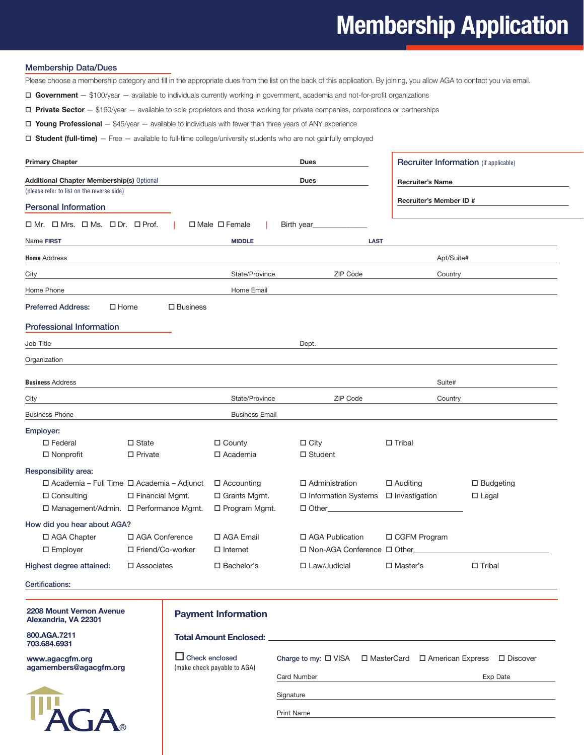## **Membership Application**

## Membership Data/Dues

Please choose a membership category and fill in the appropriate dues from the list on the back of this application. By joining, you allow AGA to contact you via email.

 **Government** — \$100/year — available to individuals currently working in government, academia and not-for-profit organizations

 **Private Sector** — \$160/year — available to sole proprietors and those working for private companies, corporations or partnerships

 **Young Professional** — \$45/year — available to individuals with fewer than three years of ANY experience

 **Student (full-time)** — Free — available to full-time college/university students who are not gainfully employed

| <b>Primary Chapter</b>                      |                      |                           | <b>Dues</b>                   |                         | <b>Recruiter Information</b> (if applicable) |  |  |  |  |
|---------------------------------------------|----------------------|---------------------------|-------------------------------|-------------------------|----------------------------------------------|--|--|--|--|
| Additional Chapter Membership(s) Optional   |                      |                           | <b>Dues</b>                   | <b>Recruiter's Name</b> |                                              |  |  |  |  |
| (please refer to list on the reverse side)  |                      |                           |                               |                         |                                              |  |  |  |  |
| <b>Personal Information</b>                 |                      |                           |                               | Recruiter's Member ID # |                                              |  |  |  |  |
| ロMr. ロMrs. ロMs. ロDr. ロProf.                 |                      | $\Box$ Male $\Box$ Female | Birth year                    |                         |                                              |  |  |  |  |
| Name FIRST                                  |                      | <b>MIDDLE</b>             | <b>LAST</b>                   |                         |                                              |  |  |  |  |
| <b>Home Address</b>                         |                      |                           |                               | Apt/Suite#              |                                              |  |  |  |  |
| City                                        |                      | State/Province            | ZIP Code                      | Country                 |                                              |  |  |  |  |
| Home Phone                                  |                      | Home Email                |                               |                         |                                              |  |  |  |  |
| <b>Preferred Address:</b><br>$\Box$ Home    | $\square$ Business   |                           |                               |                         |                                              |  |  |  |  |
| <b>Professional Information</b>             |                      |                           |                               |                         |                                              |  |  |  |  |
| Job Title                                   |                      |                           | Dept.                         |                         |                                              |  |  |  |  |
| Organization                                |                      |                           |                               |                         |                                              |  |  |  |  |
| <b>Business Address</b>                     |                      |                           |                               | Suite#                  |                                              |  |  |  |  |
| City                                        |                      | State/Province            | ZIP Code                      | Country                 |                                              |  |  |  |  |
| <b>Business Phone</b>                       |                      | <b>Business Email</b>     |                               |                         |                                              |  |  |  |  |
| Employer:                                   |                      |                           |                               |                         |                                              |  |  |  |  |
| $\square$ Federal                           | $\Box$ State         | $\Box$ County             | $\Box$ City                   | $\Box$ Tribal           |                                              |  |  |  |  |
| $\Box$ Nonprofit                            | $\Box$ Private       | □ Academia                | $\Box$ Student                |                         |                                              |  |  |  |  |
| Responsibility area:                        |                      |                           |                               |                         |                                              |  |  |  |  |
| □ Academia - Full Time □ Academia - Adjunct |                      | □ Accounting              | $\Box$ Administration         | $\square$ Auditing      | □ Budgeting                                  |  |  |  |  |
| $\Box$ Consulting                           | □ Financial Mgmt.    | □ Grants Mgmt.            | □ Information Systems         | $\Box$ Investigation    | $\Box$ Legal                                 |  |  |  |  |
| □ Management/Admin. □ Performance Mgmt.     |                      | □ Program Mgmt.           | □ Other______                 |                         |                                              |  |  |  |  |
| How did you hear about AGA?                 |                      |                           |                               |                         |                                              |  |  |  |  |
| □ AGA Chapter                               | □ AGA Conference     | □ AGA Email               | □ AGA Publication             | □ CGFM Program          |                                              |  |  |  |  |
| $\square$ Employer                          | □ Friend/Co-worker   | $\Box$ Internet           | □ Non-AGA Conference □ Other_ |                         |                                              |  |  |  |  |
| Highest degree attained:                    | $\square$ Associates | $\square$ Bachelor's      | $\Box$ Law/Judicial           | $\square$ Master's      | $\Box$ Tribal                                |  |  |  |  |
| Certifications:                             |                      |                           |                               |                         |                                              |  |  |  |  |

**2208 Mount Vernon Avenue Alexandria, VA 22301**

**800.AGA.7211 703.684.6931**

**www.agacgfm.org agamembers@agacgfm.org**



## **Payment Information**

| <b>Total Amount Enclosed:</b>                        |                                                                     |  |                 |  |  |  |  |
|------------------------------------------------------|---------------------------------------------------------------------|--|-----------------|--|--|--|--|
| $\Box$ Check enclosed<br>(make check payable to AGA) | Charge to my: $\Box$ VISA $\Box$ MasterCard $\Box$ American Express |  | $\Box$ Discover |  |  |  |  |
|                                                      | <b>Card Number</b>                                                  |  | Exp Date        |  |  |  |  |
|                                                      | Signature                                                           |  |                 |  |  |  |  |
|                                                      | <b>Print Name</b>                                                   |  |                 |  |  |  |  |